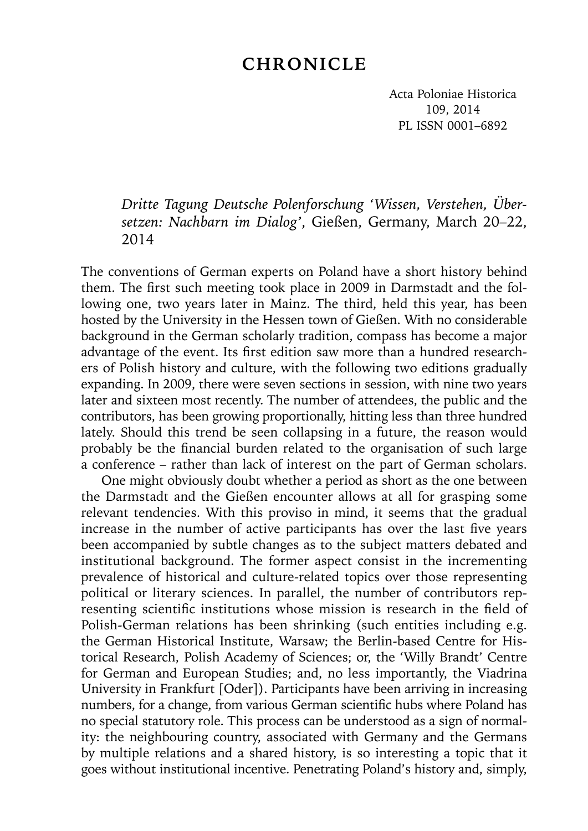## **CHRONICLE**

Acta Poloniae Historica 109, 2014 PL ISSN 0001–6892

## *Dritte Tagung Deutsche Polenforschung 'Wissen, Verstehen, Übersetzen: Nachbarn im Dialog'*, Gießen, Germany, March 20–22, 2014

The conventions of German experts on Poland have a short history behind them. The first such meeting took place in 2009 in Darmstadt and the following one, two years later in Mainz. The third, held this year, has been hosted by the University in the Hessen town of Gießen. With no considerable background in the German scholarly tradition, compass has become a major advantage of the event. Its first edition saw more than a hundred researchers of Polish history and culture, with the following two editions gradually expanding. In 2009, there were seven sections in session, with nine two years later and sixteen most recently. The number of attendees, the public and the contributors, has been growing proportionally, hitting less than three hundred lately. Should this trend be seen collapsing in a future, the reason would probably be the financial burden related to the organisation of such large a conference – rather than lack of interest on the part of German scholars.

One might obviously doubt whether a period as short as the one between the Darmstadt and the Gießen encounter allows at all for grasping some relevant tendencies. With this proviso in mind, it seems that the gradual increase in the number of active participants has over the last five years been accompanied by subtle changes as to the subject matters debated and institutional background. The former aspect consist in the incrementing prevalence of historical and culture-related topics over those representing political or literary sciences. In parallel, the number of contributors representing scientific institutions whose mission is research in the field of Polish-German relations has been shrinking (such entities including e.g. the German Historical Institute, Warsaw; the Berlin-based Centre for Historical Research, Polish Academy of Sciences; or, the 'Willy Brandt' Centre for German and European Studies; and, no less importantly, the Viadrina University in Frankfurt [Oder]). Participants have been arriving in increasing numbers, for a change, from various German scientific hubs where Poland has no special statutory role. This process can be understood as a sign of normality: the neighbouring country, associated with Germany and the Germans by multiple relations and a shared history, is so interesting a topic that it goes without institutional incentive. Penetrating Poland's history and, simply,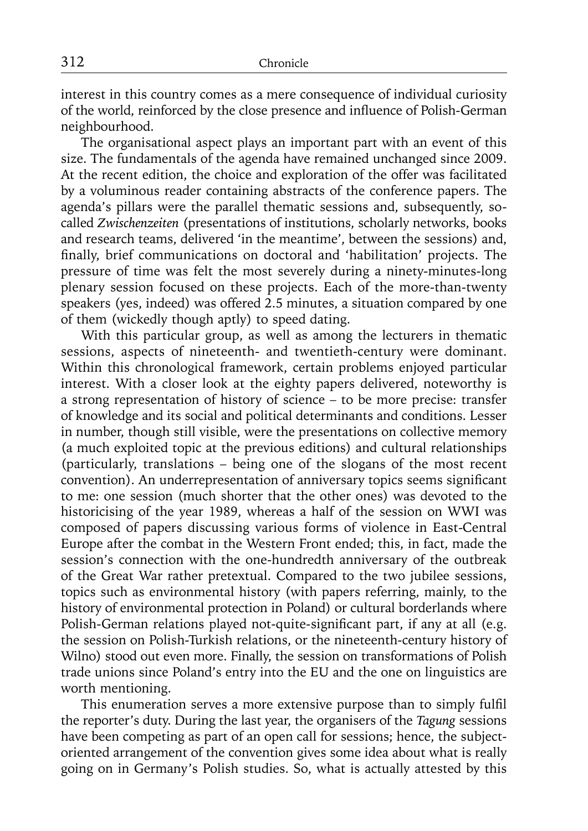interest in this country comes as a mere consequence of individual curiosity of the world, reinforced by the close presence and influence of Polish-German neighbourhood.

The organisational aspect plays an important part with an event of this size. The fundamentals of the agenda have remained unchanged since 2009. At the recent edition, the choice and exploration of the offer was facilitated by a voluminous reader containing abstracts of the conference papers. The agenda's pillars were the parallel thematic sessions and, subsequently, socalled *Zwischenzeiten* (presentations of institutions, scholarly networks, books and research teams, delivered 'in the meantime', between the sessions) and, finally, brief communications on doctoral and 'habilitation' projects. The pressure of time was felt the most severely during a ninety-minutes-long plenary session focused on these projects. Each of the more-than-twenty speakers (yes, indeed) was offered 2.5 minutes, a situation compared by one of them (wickedly though aptly) to speed dating.

With this particular group, as well as among the lecturers in thematic sessions, aspects of nineteenth- and twentieth-century were dominant. Within this chronological framework, certain problems enjoyed particular interest. With a closer look at the eighty papers delivered, noteworthy is a strong representation of history of science – to be more precise: transfer of knowledge and its social and political determinants and conditions. Lesser in number, though still visible, were the presentations on collective memory (a much exploited topic at the previous editions) and cultural relationships (particularly, translations – being one of the slogans of the most recent convention). An underrepresentation of anniversary topics seems significant to me: one session (much shorter that the other ones) was devoted to the historicising of the year 1989, whereas a half of the session on WWI was composed of papers discussing various forms of violence in East-Central Europe after the combat in the Western Front ended; this, in fact, made the session's connection with the one-hundredth anniversary of the outbreak of the Great War rather pretextual. Compared to the two jubilee sessions, topics such as environmental history (with papers referring, mainly, to the history of environmental protection in Poland) or cultural borderlands where Polish-German relations played not-quite-significant part, if any at all (e.g. the session on Polish-Turkish relations, or the nineteenth-century history of Wilno) stood out even more. Finally, the session on transformations of Polish trade unions since Poland's entry into the EU and the one on linguistics are worth mentioning.

This enumeration serves a more extensive purpose than to simply fulfil the reporter's duty. During the last year, the organisers of the *Tagung* sessions have been competing as part of an open call for sessions; hence, the subjectoriented arrangement of the convention gives some idea about what is really going on in Germany's Polish studies. So, what is actually attested by this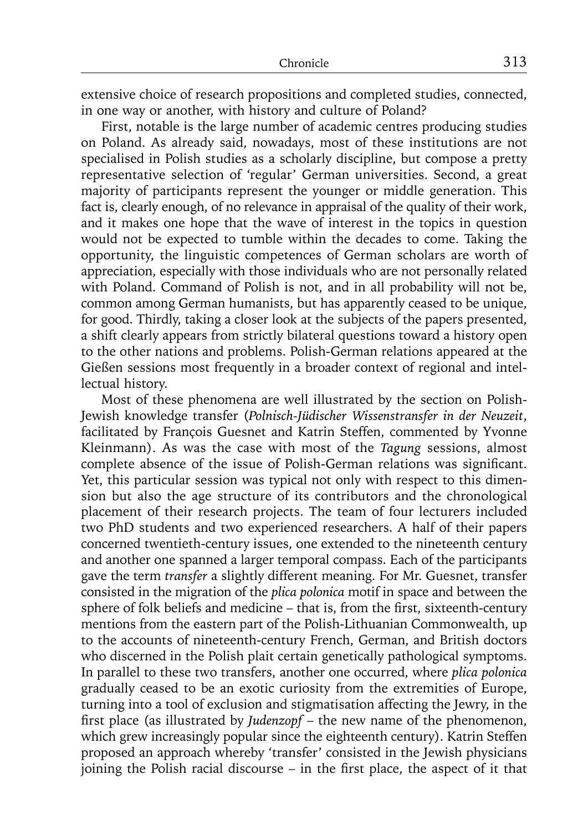extensive choice of research propositions and completed studies, connected, in one way or another, with history and culture of Poland?

First, notable is the large number of academic centres producing studies on Poland. As already said, nowadays, most of these institutions are not specialised in Polish studies as a scholarly discipline, but compose a pretty representative selection of 'regular' German universities. Second, a great majority of participants represent the younger or middle generation. This fact is, clearly enough, of no relevance in appraisal of the quality of their work, and it makes one hope that the wave of interest in the topics in question would not be expected to tumble within the decades to come. Taking the opportunity, the linguistic competences of German scholars are worth of appreciation, especially with those individuals who are not personally related with Poland. Command of Polish is not, and in all probability will not be, common among German humanists, but has apparently ceased to be unique, for good. Thirdly, taking a closer look at the subjects of the papers presented, a shift clearly appears from strictly bilateral questions toward a history open to the other nations and problems. Polish-German relations appeared at the Gießen sessions most frequently in a broader context of regional and intellectual history.

Most of these phenomena are well illustrated by the section on Polish-Jewish knowledge transfer (*Polnisch-Jüdischer Wissenstransfer in der Neuzeit*, facilitated by François Guesnet and Katrin Steffen, commented by Yvonne Kleinmann). As was the case with most of the *Tagung* sessions, almost complete absence of the issue of Polish-German relations was significant. Yet, this particular session was typical not only with respect to this dimension but also the age structure of its contributors and the chronological placement of their research projects. The team of four lecturers included two PhD students and two experienced researchers. A half of their papers concerned twentieth-century issues, one extended to the nineteenth century and another one spanned a larger temporal compass. Each of the participants gave the term *transfer* a slightly different meaning. For Mr. Guesnet, transfer consisted in the migration of the *plica polonica* motif in space and between the sphere of folk beliefs and medicine  $-$  that is, from the first, sixteenth-century mentions from the eastern part of the Polish-Lithuanian Commonwealth, up to the accounts of nineteenth-century French, German, and British doctors who discerned in the Polish plait certain genetically pathological symptoms. In parallel to these two transfers, another one occurred, where *plica polonica*  gradually ceased to be an exotic curiosity from the extremities of Europe, turning into a tool of exclusion and stigmatisation affecting the Jewry, in the first place (as illustrated by *Judenzopf* – the new name of the phenomenon, which grew increasingly popular since the eighteenth century). Katrin Steffen proposed an approach whereby 'transfer' consisted in the Jewish physicians joining the Polish racial discourse  $-$  in the first place, the aspect of it that